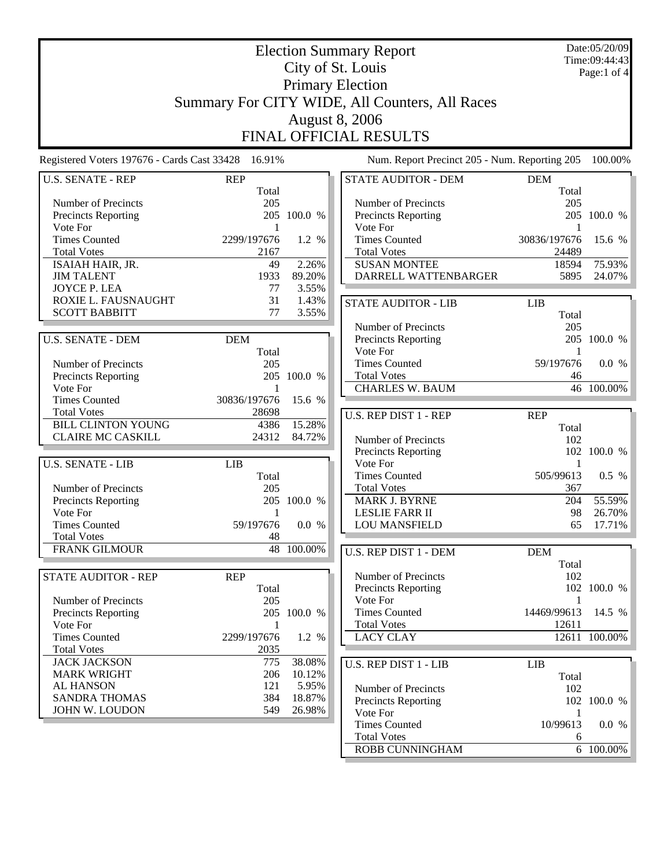Date:05/20/09 Time:09:44:43 Page:1 of 4

## Election Summary Report City of St. Louis Primary Election Summary For CITY WIDE, All Counters, All Races August 8, 2006 FINAL OFFICIAL RESULTS

| <b>U.S. SENATE - REP</b>   | <b>REP</b>     |             | STATE AUDITOR - DEM                    | <b>DEM</b>   |               |
|----------------------------|----------------|-------------|----------------------------------------|--------------|---------------|
|                            | Total          |             |                                        | Total        |               |
| Number of Precincts        | 205            |             | Number of Precincts                    | 205          |               |
| Precincts Reporting        |                | 205 100.0 % | Precincts Reporting                    |              | 205 100.0 %   |
| Vote For                   | $\mathbf{1}$   |             | Vote For                               | -1           |               |
| <b>Times Counted</b>       | 2299/197676    | 1.2 %       | <b>Times Counted</b>                   | 30836/197676 | 15.6 %        |
| <b>Total Votes</b>         | 2167           |             | <b>Total Votes</b>                     | 24489        |               |
| ISAIAH HAIR, JR.           | 49             | 2.26%       | <b>SUSAN MONTEE</b>                    | 18594        | 75.93%        |
| <b>JIM TALENT</b>          | 1933           | 89.20%      | DARRELL WATTENBARGER                   | 5895         | 24.07%        |
| JOYCE P. LEA               | 77             | 3.55%       |                                        |              |               |
| ROXIE L. FAUSNAUGHT        | 31             | 1.43%       | <b>STATE AUDITOR - LIB</b>             | LIB          |               |
| <b>SCOTT BABBITT</b>       | 77             | 3.55%       |                                        | Total        |               |
|                            |                |             | Number of Precincts                    | 205          |               |
|                            |                |             |                                        |              | 205 100.0 %   |
| <b>U.S. SENATE - DEM</b>   | <b>DEM</b>     |             | <b>Precincts Reporting</b><br>Vote For |              |               |
|                            | Total          |             |                                        | -1           |               |
| Number of Precincts        | 205            |             | <b>Times Counted</b>                   | 59/197676    | 0.0 %         |
| Precincts Reporting        |                | 205 100.0 % | <b>Total Votes</b>                     | 46           |               |
| Vote For                   | $\mathbf{1}$   |             | <b>CHARLES W. BAUM</b>                 |              | 46 100.00%    |
| <b>Times Counted</b>       | 30836/197676   | 15.6 %      |                                        |              |               |
| <b>Total Votes</b>         | 28698          |             | U.S. REP DIST 1 - REP                  | <b>REP</b>   |               |
| <b>BILL CLINTON YOUNG</b>  | 4386           | 15.28%      |                                        | Total        |               |
| <b>CLAIRE MC CASKILL</b>   | 24312          | 84.72%      | Number of Precincts                    | 102          |               |
|                            |                |             | Precincts Reporting                    |              | 102 100.0 %   |
| <b>U.S. SENATE - LIB</b>   | <b>LIB</b>     |             | Vote For                               | -1           |               |
|                            | Total          |             | <b>Times Counted</b>                   | 505/99613    | 0.5 %         |
| Number of Precincts        | 205            |             | <b>Total Votes</b>                     | 367          |               |
| Precincts Reporting        |                | 205 100.0 % | MARK J. BYRNE                          | 204          | 55.59%        |
| Vote For                   | -1             |             | <b>LESLIE FARR II</b>                  | 98           | 26.70%        |
| <b>Times Counted</b>       | 59/197676      | 0.0 %       | LOU MANSFIELD                          | 65           | 17.71%        |
| <b>Total Votes</b>         | 48             |             |                                        |              |               |
| <b>FRANK GILMOUR</b>       |                | 48 100.00%  | U.S. REP DIST 1 - DEM                  | <b>DEM</b>   |               |
|                            |                |             |                                        | Total        |               |
| <b>STATE AUDITOR - REP</b> | <b>REP</b>     |             | Number of Precincts                    | 102          |               |
|                            | Total          |             | Precincts Reporting                    |              | 102 100.0 %   |
| Number of Precincts        | 205            |             | Vote For                               | $\mathbf{1}$ |               |
| <b>Precincts Reporting</b> |                | 205 100.0 % | <b>Times Counted</b>                   | 14469/99613  | 14.5 %        |
| Vote For                   | $\overline{1}$ |             | <b>Total Votes</b>                     | 12611        |               |
| <b>Times Counted</b>       | 2299/197676    | 1.2 %       | <b>LACY CLAY</b>                       |              | 12611 100.00% |
| <b>Total Votes</b>         | 2035           |             |                                        |              |               |
| <b>JACK JACKSON</b>        |                | 38.08%      |                                        |              |               |
|                            | 775            |             | U.S. REP DIST 1 - LIB                  | LIB          |               |
| <b>MARK WRIGHT</b>         | 206            | 10.12%      |                                        | Total        |               |
| <b>AL HANSON</b>           | 121            | 5.95%       | Number of Precincts                    | 102          |               |
| <b>SANDRA THOMAS</b>       | 384            | 18.87%      | Precincts Reporting                    |              | 102 100.0 %   |
| <b>JOHN W. LOUDON</b>      | 549            | 26.98%      | Vote For                               | 1            |               |
|                            |                |             | <b>Times Counted</b>                   | 10/99613     | 0.0 %         |
|                            |                |             | <b>Total Votes</b>                     | 6            |               |
|                            |                |             | <b>ROBB CUNNINGHAM</b>                 |              | 6 100.00%     |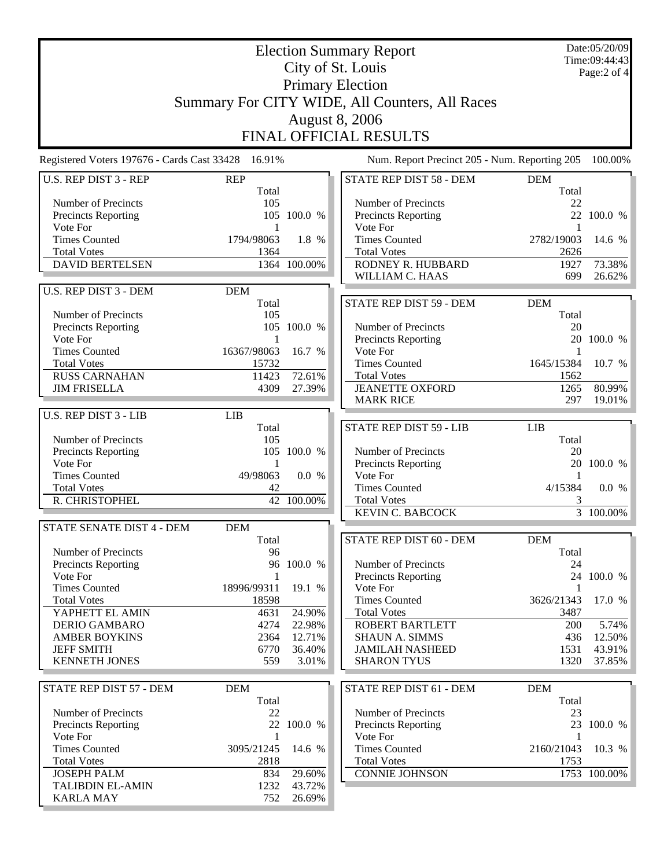Date:05/20/09 Time:09:44:43 Page:2 of 4

## Election Summary Report City of St. Louis Primary Election Summary For CITY WIDE, All Counters, All Races August 8, 2006 FINAL OFFICIAL RESULTS

| <b>U.S. REP DIST 3 - REP</b> | <b>REP</b>          |              | STATE REP DIST 58 - DEM    | <b>DEM</b>     |                        |
|------------------------------|---------------------|--------------|----------------------------|----------------|------------------------|
|                              | Total               |              |                            | Total          |                        |
| Number of Precincts          | 105                 |              | Number of Precincts        | 22             |                        |
| Precincts Reporting          |                     | 105 100.0 %  | Precincts Reporting        |                | 22 100.0 %             |
| Vote For                     | 1                   |              | Vote For                   | $\mathbf{1}$   |                        |
| <b>Times Counted</b>         | 1794/98063          | 1.8 %        | <b>Times Counted</b>       | 2782/19003     | 14.6 %                 |
| <b>Total Votes</b>           | 1364                |              | <b>Total Votes</b>         | 2626           |                        |
| <b>DAVID BERTELSEN</b>       |                     | 1364 100.00% | RODNEY R. HUBBARD          | 1927           | 73.38%                 |
|                              |                     |              | WILLIAM C. HAAS            | 699            | 26.62%                 |
| U.S. REP DIST 3 - DEM        | <b>DEM</b>          |              |                            |                |                        |
|                              | Total               |              | STATE REP DIST 59 - DEM    | <b>DEM</b>     |                        |
| Number of Precincts          | 105                 |              |                            | Total          |                        |
| <b>Precincts Reporting</b>   |                     | 105 100.0 %  | Number of Precincts        | 20             |                        |
| Vote For                     | 1                   |              | Precincts Reporting        |                | 20 100.0 %             |
| <b>Times Counted</b>         | 16367/98063         | 16.7 %       | Vote For                   | $\overline{1}$ |                        |
| <b>Total Votes</b>           | 15732               |              | <b>Times Counted</b>       | 1645/15384     | 10.7 %                 |
| <b>RUSS CARNAHAN</b>         | 11423               | 72.61%       | <b>Total Votes</b>         | 1562           |                        |
| <b>JIM FRISELLA</b>          | 4309                | 27.39%       | <b>JEANETTE OXFORD</b>     | 1265           | 80.99%                 |
|                              |                     |              | <b>MARK RICE</b>           | 297            | 19.01%                 |
|                              |                     |              |                            |                |                        |
| U.S. REP DIST 3 - LIB        | <b>LIB</b><br>Total |              | STATE REP DIST 59 - LIB    | LIB            |                        |
|                              |                     |              |                            |                |                        |
| Number of Precincts          | 105                 |              |                            | Total          |                        |
| Precincts Reporting          |                     | 105 100.0 %  | Number of Precincts        | 20             |                        |
| Vote For                     | 1                   |              | Precincts Reporting        |                | 20 100.0 %             |
| <b>Times Counted</b>         | 49/98063            | 0.0 %        | Vote For                   | 1              |                        |
| <b>Total Votes</b>           | 42                  |              | <b>Times Counted</b>       | 4/15384        | 0.0 %                  |
| R. CHRISTOPHEL               |                     | 42 100.00%   | <b>Total Votes</b>         | 3              |                        |
|                              |                     |              | <b>KEVIN C. BABCOCK</b>    |                | $\overline{3}$ 100.00% |
| STATE SENATE DIST 4 - DEM    | <b>DEM</b>          |              |                            |                |                        |
|                              | Total               |              | STATE REP DIST 60 - DEM    | DEM            |                        |
| Number of Precincts          | 96                  |              |                            | Total          |                        |
| Precincts Reporting          |                     | 96 100.0 %   | Number of Precincts        | 24             |                        |
| Vote For                     | -1                  |              | Precincts Reporting        |                | 24 100.0 %             |
| <b>Times Counted</b>         | 18996/99311         | 19.1 %       | Vote For                   | 1              |                        |
| <b>Total Votes</b>           | 18598               |              | <b>Times Counted</b>       | 3626/21343     | 17.0 %                 |
| YAPHETT EL AMIN              | 4631                | 24.90%       | <b>Total Votes</b>         | 3487           |                        |
| <b>DERIO GAMBARO</b>         | 4274                | 22.98%       | <b>ROBERT BARTLETT</b>     | 200            | 5.74%                  |
| <b>AMBER BOYKINS</b>         | 2364                | 12.71%       | <b>SHAUN A. SIMMS</b>      | 436            | 12.50%                 |
| <b>JEFF SMITH</b>            | 6770                | 36.40%       | <b>JAMILAH NASHEED</b>     | 1531           | 43.91%                 |
| <b>KENNETH JONES</b>         | 559                 | 3.01%        | <b>SHARON TYUS</b>         |                | 1320 37.85%            |
|                              |                     |              |                            |                |                        |
| STATE REP DIST 57 - DEM      | <b>DEM</b>          |              | STATE REP DIST 61 - DEM    | <b>DEM</b>     |                        |
|                              | Total               |              |                            | Total          |                        |
| Number of Precincts          | 22                  |              | Number of Precincts        | 23             |                        |
| <b>Precincts Reporting</b>   |                     | 22 100.0 %   | <b>Precincts Reporting</b> |                | 23 100.0 %             |
| Vote For                     | 1                   |              | Vote For                   | 1              |                        |
| <b>Times Counted</b>         | 3095/21245          | 14.6 %       | <b>Times Counted</b>       | 2160/21043     | 10.3 %                 |
| <b>Total Votes</b>           | 2818                |              | <b>Total Votes</b>         | 1753           |                        |
| <b>JOSEPH PALM</b>           | 834                 | 29.60%       | <b>CONNIE JOHNSON</b>      |                | 1753 100.00%           |
| <b>TALIBDIN EL-AMIN</b>      |                     |              |                            |                |                        |
|                              | 1232                | 43.72%       |                            |                |                        |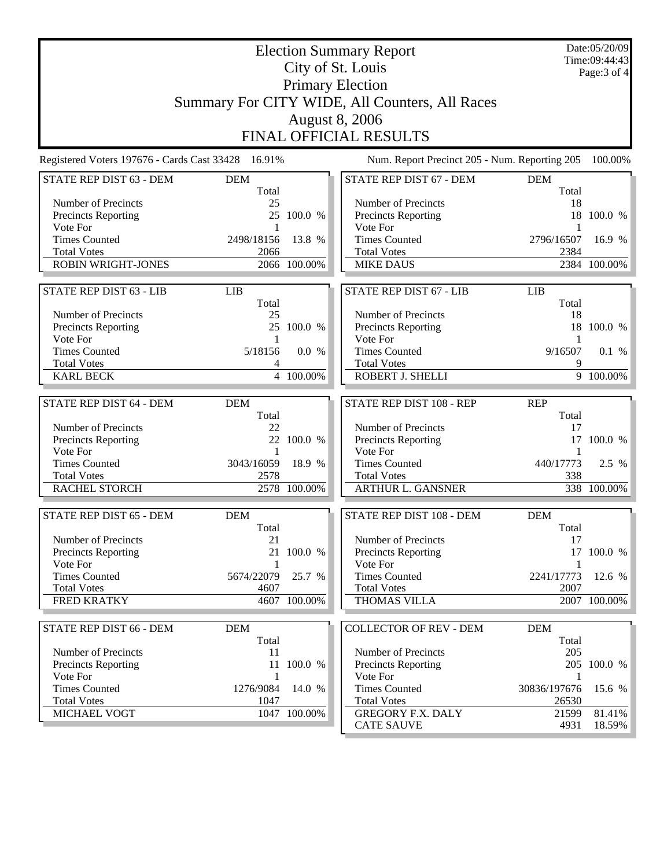Date:05/20/09 Time:09:44:43 Page:3 of 4

## Election Summary Report City of St. Louis Primary Election Summary For CITY WIDE, All Counters, All Races August 8, 2006 FINAL OFFICIAL RESULTS

| STATE REP DIST 63 - DEM        | <b>DEM</b>   |              | STATE REP DIST 67 - DEM        | <b>DEM</b>   |              |
|--------------------------------|--------------|--------------|--------------------------------|--------------|--------------|
|                                | Total        |              |                                | Total        |              |
| Number of Precincts            | 25           |              | Number of Precincts            | 18           |              |
| Precincts Reporting            |              | 25 100.0 %   | Precincts Reporting            |              | 18 100.0 %   |
| Vote For                       | $\mathbf{1}$ |              | Vote For                       | $\mathbf{1}$ |              |
| <b>Times Counted</b>           | 2498/18156   | 13.8 %       | <b>Times Counted</b>           | 2796/16507   | 16.9 %       |
| <b>Total Votes</b>             | 2066         |              | <b>Total Votes</b>             | 2384         |              |
| ROBIN WRIGHT-JONES             |              | 2066 100.00% | <b>MIKE DAUS</b>               |              | 2384 100.00% |
|                                |              |              |                                |              |              |
| <b>STATE REP DIST 63 - LIB</b> | <b>LIB</b>   |              | <b>STATE REP DIST 67 - LIB</b> | <b>LIB</b>   |              |
|                                | Total        |              |                                | Total        |              |
| Number of Precincts            | 25           |              | Number of Precincts            | 18           |              |
| Precincts Reporting            |              | 25 100.0 %   | <b>Precincts Reporting</b>     |              | 18 100.0 %   |
| Vote For                       | -1           |              | Vote For                       | $\mathbf{1}$ |              |
| <b>Times Counted</b>           | 5/18156      | 0.0 %        | <b>Times Counted</b>           | 9/16507      | 0.1 %        |
| <b>Total Votes</b>             | 4            |              | <b>Total Votes</b>             | 9            |              |
| <b>KARL BECK</b>               |              | 4 100.00%    | ROBERT J. SHELLI               |              | 9 100.00%    |
|                                |              |              |                                |              |              |
| STATE REP DIST 64 - DEM        | <b>DEM</b>   |              | STATE REP DIST 108 - REP       | <b>REP</b>   |              |
|                                | Total        |              |                                | Total        |              |
| Number of Precincts            | 22           |              | Number of Precincts            | 17           |              |
| <b>Precincts Reporting</b>     |              | 22 100.0 %   | <b>Precincts Reporting</b>     |              | 17 100.0 %   |
| Vote For                       | $\mathbf{1}$ |              | Vote For                       | $\mathbf{1}$ |              |
| <b>Times Counted</b>           | 3043/16059   | 18.9 %       | <b>Times Counted</b>           | 440/17773    | 2.5 %        |
| <b>Total Votes</b>             | 2578         |              | <b>Total Votes</b>             | 338          |              |
| RACHEL STORCH                  |              | 2578 100.00% | <b>ARTHUR L. GANSNER</b>       |              | 338 100.00%  |
|                                |              |              |                                |              |              |
| STATE REP DIST 65 - DEM        | <b>DEM</b>   |              | STATE REP DIST 108 - DEM       | <b>DEM</b>   |              |
|                                | Total        |              |                                | Total        |              |
| Number of Precincts            | 21           |              | Number of Precincts            | 17           |              |
| <b>Precincts Reporting</b>     |              | 21 100.0 %   | <b>Precincts Reporting</b>     |              | 17 100.0 %   |
| Vote For                       | $\mathbf{1}$ |              | Vote For                       | $\mathbf{1}$ |              |
| <b>Times Counted</b>           | 5674/22079   | 25.7 %       | <b>Times Counted</b>           | 2241/17773   | 12.6 %       |
| <b>Total Votes</b>             | 4607         |              | <b>Total Votes</b>             | 2007         |              |
| <b>FRED KRATKY</b>             |              | 4607 100.00% | THOMAS VILLA                   |              | 2007 100.00% |
|                                |              |              |                                |              |              |
| STATE REP DIST 66 - DEM        | <b>DEM</b>   |              | <b>COLLECTOR OF REV - DEM</b>  | <b>DEM</b>   |              |
|                                | Total        |              |                                | Total        |              |
| Number of Precincts            | 11           |              | Number of Precincts            | 205          |              |
| <b>Precincts Reporting</b>     | 11           | 100.0 %      | <b>Precincts Reporting</b>     |              | 205 100.0 %  |
| Vote For                       | 1            |              | Vote For                       | 1            |              |
| <b>Times Counted</b>           | 1276/9084    | 14.0 %       | <b>Times Counted</b>           | 30836/197676 | 15.6 %       |
| <b>Total Votes</b>             | 1047         |              | <b>Total Votes</b>             | 26530        |              |
| MICHAEL VOGT                   |              | 1047 100.00% | <b>GREGORY F.X. DALY</b>       | 21599        | 81.41%       |
|                                |              |              | <b>CATE SAUVE</b>              | 4931         | 18.59%       |